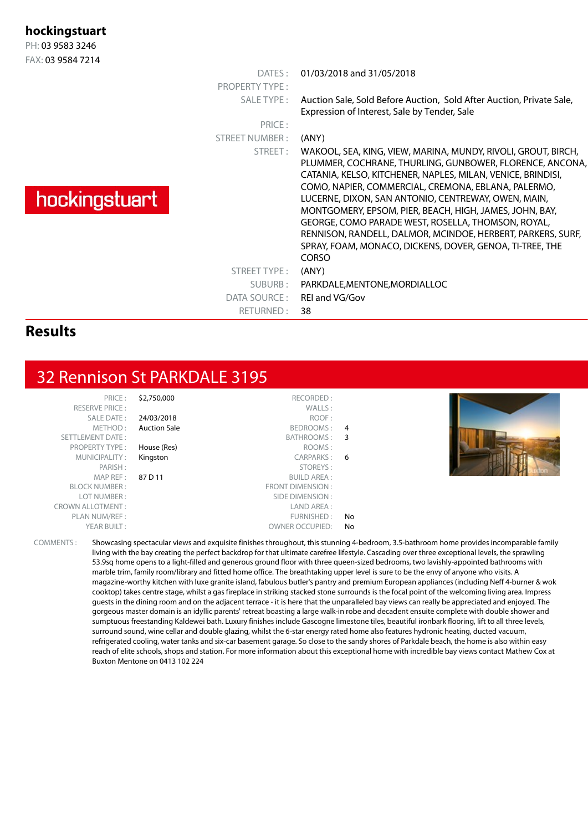| hockingstuart     |                       |                                                                                                                                                                                                                                                                                                                                                                                                                                                                                                                                                                   |
|-------------------|-----------------------|-------------------------------------------------------------------------------------------------------------------------------------------------------------------------------------------------------------------------------------------------------------------------------------------------------------------------------------------------------------------------------------------------------------------------------------------------------------------------------------------------------------------------------------------------------------------|
| PH: 03 9583 3246  |                       |                                                                                                                                                                                                                                                                                                                                                                                                                                                                                                                                                                   |
| FAX: 03 9584 7214 |                       |                                                                                                                                                                                                                                                                                                                                                                                                                                                                                                                                                                   |
|                   | $\overline{DATFS}$ :  | 01/03/2018 and 31/05/2018                                                                                                                                                                                                                                                                                                                                                                                                                                                                                                                                         |
|                   | <b>PROPERTY TYPE:</b> |                                                                                                                                                                                                                                                                                                                                                                                                                                                                                                                                                                   |
|                   | SALE TYPE:            | Auction Sale, Sold Before Auction, Sold After Auction, Private Sale,<br>Expression of Interest, Sale by Tender, Sale                                                                                                                                                                                                                                                                                                                                                                                                                                              |
|                   | PRICE:                |                                                                                                                                                                                                                                                                                                                                                                                                                                                                                                                                                                   |
|                   | STREET NUMBER:        | (ANY)                                                                                                                                                                                                                                                                                                                                                                                                                                                                                                                                                             |
| hockingstuart     | STREET:               | WAKOOL, SEA, KING, VIEW, MARINA, MUNDY, RIVOLI, GROUT, BIRCH,<br>PLUMMER, COCHRANE, THURLING, GUNBOWER, FLORENCE, ANCONA<br>CATANIA, KELSO, KITCHENER, NAPLES, MILAN, VENICE, BRINDISI,<br>COMO, NAPIER, COMMERCIAL, CREMONA, EBLANA, PALERMO,<br>LUCERNE, DIXON, SAN ANTONIO, CENTREWAY, OWEN, MAIN,<br>MONTGOMERY, EPSOM, PIER, BEACH, HIGH, JAMES, JOHN, BAY,<br>GEORGE, COMO PARADE WEST, ROSELLA, THOMSON, ROYAL,<br>RENNISON, RANDELL, DALMOR, MCINDOE, HERBERT, PARKERS, SURF,<br>SPRAY, FOAM, MONACO, DICKENS, DOVER, GENOA, TI-TREE, THE<br><b>CORSO</b> |
|                   | STREET TYPE:          | (ANY)                                                                                                                                                                                                                                                                                                                                                                                                                                                                                                                                                             |
|                   | SUBURB:               | PARKDALE, MENTONE, MORDIALLOC                                                                                                                                                                                                                                                                                                                                                                                                                                                                                                                                     |
|                   | DATA SOURCE:          | REI and VG/Gov                                                                                                                                                                                                                                                                                                                                                                                                                                                                                                                                                    |
|                   | RETURNED:             | 38                                                                                                                                                                                                                                                                                                                                                                                                                                                                                                                                                                |

#### **Results**

#### 32 Rennison St PARKDALE 3195

| PRICE:                  | \$2,750,000         | RECORDED:              |     |  |
|-------------------------|---------------------|------------------------|-----|--|
| <b>RESERVE PRICE:</b>   |                     | WALLS:                 |     |  |
| SALE DATE:              | 24/03/2018          | ROOF:                  |     |  |
| METHOD:                 | <b>Auction Sale</b> | BEDROOMS: 4            |     |  |
| SETTLEMENT DATE:        |                     | BATHROOMS: 3           |     |  |
| <b>PROPERTY TYPE:</b>   | House (Res)         | ROOMS:                 |     |  |
| MUNICIPALITY:           | Kingston            | CARPARKS: 6            |     |  |
| PARISH:                 |                     | STOREYS:               |     |  |
| MAP REF :               | 87 D 11             | <b>BUILD AREA:</b>     |     |  |
| <b>BLOCK NUMBER:</b>    |                     | FRONT DIMENSION:       |     |  |
| LOT NUMBER:             |                     | SIDE DIMENSION:        |     |  |
| <b>CROWN ALLOTMENT:</b> |                     | LAND AREA:             |     |  |
| PLAN NUM/REF :          |                     | FURNISHED:             | No. |  |
| YEAR BUILT:             |                     | <b>OWNER OCCUPIED:</b> | No  |  |

COMMENTS : Showcasing spectacular views and exquisite finishes throughout, this stunning 4-bedroom, 3.5-bathroom home provides incomparable family living with the bay creating the perfect backdrop for that ultimate carefree lifestyle. Cascading over three exceptional levels, the sprawling 53.9sq home opens to a light-filled and generous ground floor with three queen-sized bedrooms, two lavishly-appointed bathrooms with marble trim, family room/library and fitted home office. The breathtaking upper level is sure to be the envy of anyone who visits. A magazine-worthy kitchen with luxe granite island, fabulous butler's pantry and premium European appliances (including Neff 4-burner & wok cooktop) takes centre stage, whilst a gas fireplace in striking stacked stone surrounds is the focal point of the welcoming living area. Impress guests in the dining room and on the adjacent terrace - it is here that the unparalleled bay views can really be appreciated and enjoyed. The gorgeous master domain is an idyllic parents' retreat boasting a large walk-in robe and decadent ensuite complete with double shower and sumptuous freestanding Kaldewei bath. Luxury finishes include Gascogne limestone tiles, beautiful ironbark flooring, lift to all three levels, surround sound, wine cellar and double glazing, whilst the 6-star energy rated home also features hydronic heating, ducted vacuum, refrigerated cooling, water tanks and six-car basement garage. So close to the sandy shores of Parkdale beach, the home is also within easy reach of elite schools, shops and station. For more information about this exceptional home with incredible bay views contact Mathew Cox at Buxton Mentone on 0413 102 224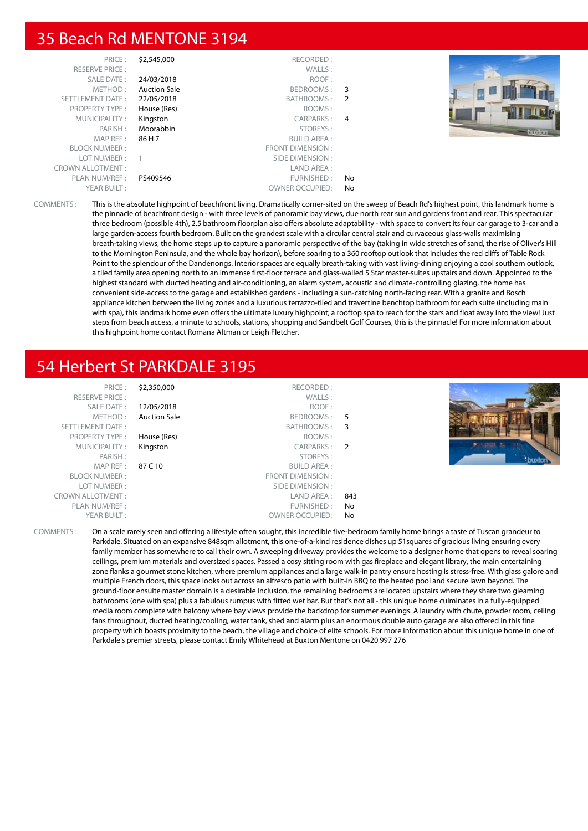#### 35 Beach Rd MENTONE 3194

| PRICE:                  | \$2,545,000         | RECORDED:              |    |        |
|-------------------------|---------------------|------------------------|----|--------|
| <b>RESERVE PRICE:</b>   |                     | WALLS:                 |    |        |
| <b>SALE DATE:</b>       | 24/03/2018          | ROOF:                  |    |        |
| METHOD:                 | <b>Auction Sale</b> | BEDROOMS:              | 3  |        |
| SETTLEMENT DATE:        | 22/05/2018          | BATHROOMS: 2           |    |        |
| <b>PROPERTY TYPE:</b>   | House (Res)         | ROOMS:                 |    |        |
| MUNICIPALITY:           | Kingston            | CARPARKS: 4            |    |        |
| PARISH:                 | Moorabbin           | STOREYS:               |    | bundon |
| MAP REF:                | 86 H 7              | <b>BUILD AREA:</b>     |    |        |
| <b>BLOCK NUMBER:</b>    |                     | FRONT DIMENSION :      |    |        |
| LOT NUMBER:             |                     | SIDE DIMENSION :       |    |        |
| <b>CROWN ALLOTMENT:</b> |                     | LAND AREA :            |    |        |
| PLAN NUM/REF :          | PS409546            | FURNISHED:             | No |        |
| YEAR BUILT:             |                     | <b>OWNER OCCUPIED:</b> | No |        |

COMMENTS : This is the absolute highpoint of beachfront living. Dramatically corner-sited on the sweep of Beach Rd's highest point, this landmark home is the pinnacle of beachfront design - with three levels of panoramic bay views, due north rear sun and gardens front and rear. This spectacular three bedroom (possible 4th), 2.5 bathroom floorplan also offers absolute adaptability - with space to convert its four car garage to 3-car and a large garden-access fourth bedroom. Built on the grandest scale with a circular central stair and curvaceous glass-walls maximising breath-taking views, the home steps up to capture a panoramic perspective of the bay (taking in wide stretches of sand, the rise of Oliver's Hill to the Mornington Peninsula, and the whole bay horizon), before soaring to a 360 rooftop outlook that includes the red cliffs of Table Rock Point to the splendour of the Dandenongs. Interior spaces are equally breath-taking with vast living-dining enjoying a cool southern outlook, a tiled family area opening north to an immense first-floor terrace and glass-walled 5 Star master-suites upstairs and down. Appointed to the highest standard with ducted heating and air-conditioning, an alarm system, acoustic and climate-controlling glazing, the home has convenient side-access to the garage and established gardens - including a sun-catching north-facing rear. With a granite and Bosch appliance kitchen between the living zones and a luxurious terrazzo-tiled and travertine benchtop bathroom for each suite (including main with spa), this landmark home even offers the ultimate luxury highpoint; a rooftop spa to reach for the stars and float away into the view! Just steps from beach access, a minute to schools, stations, shopping and Sandbelt Golf Courses, this is the pinnacle! For more information about this highpoint home contact Romana Altman or Leigh Fletcher.

# 54 Herbert St PARKDALE 3195

PRICE : \$2,350,000 RECORDED : RESERVE PRICE : WALLS : SALE DATE : **12/05/2018** ROOF : METHOD : **Auction Sale** BEDROOMS : 5<br>
ENT DATE : 6 BATHROOMS : 3 SETTLEMENT DATE : SETTLEMENT DATE : SETTLEMENT DATE : SETTLEMENT DATE : SETTLEMENT DATE : SETTLEMENT DATE : SE PROPERTY TYPE : **House (Res)** ROOMS :<br>
MUNICIPALITY : **Kingston** ROOMS : RESERVENT RESERVENTS : RESERVENTS : MUNICIPALITY : **Kingston** CARPARKS : 2 PARISH : STOREYS : MAP RFF : 87 C 10 BUILD AREA : BLOCK NUMBER : FRONT DIMENSION : LOT NUMBER : SIDE DIMENSION : CROWN ALLOTMENT : THE SERVICE OF STRAIN AND AREA : 843 PLAN NUM/REF : FURNISHED : No OWNER OCCUPIED: No



COMMENTS : On a scale rarely seen and offering a lifestyle often sought, this incredible five-bedroom family home brings a taste of Tuscan grandeur to Parkdale. Situated on an expansive 848sqm allotment, this one-of-a-kind residence dishes up 51squares of gracious living ensuring every family member has somewhere to call their own. A sweeping driveway provides the welcome to a designer home that opens to reveal soaring ceilings, premium materials and oversized spaces. Passed a cosy sitting room with gas fireplace and elegant library, the main entertaining zone flanks a gourmet stone kitchen, where premium appliances and a large walk-in pantry ensure hosting is stress-free. With glass galore and multiple French doors, this space looks out across an alfresco patio with built-in BBQ to the heated pool and secure lawn beyond. The ground-floor ensuite master domain is a desirable inclusion, the remaining bedrooms are located upstairs where they share two gleaming bathrooms (one with spa) plus a fabulous rumpus with fitted wet bar. But that's not all - this unique home culminates in a fully-equipped media room complete with balcony where bay views provide the backdrop for summer evenings. A laundry with chute, powder room, ceiling fans throughout, ducted heating/cooling, water tank, shed and alarm plus an enormous double auto garage are also offered in this fine property which boasts proximity to the beach, the village and choice of elite schools. For more information about this unique home in one of Parkdale's premier streets, please contact Emily Whitehead at Buxton Mentone on 0420 997 276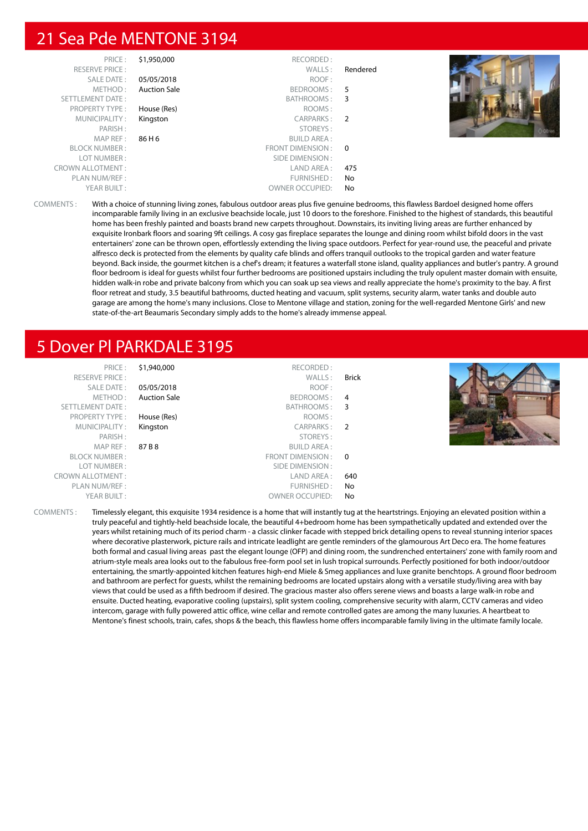#### 21 Sea Pde MENTONE 3194

| PRICE:                  | \$1,950,000         | RECORDED:              |          |  |
|-------------------------|---------------------|------------------------|----------|--|
| <b>RESERVE PRICE:</b>   |                     | WALLS:                 | Rendered |  |
| SALE DATE:              | 05/05/2018          | ROOF:                  |          |  |
| METHOD:                 | <b>Auction Sale</b> | BEDROOMS:              | 5        |  |
| SETTLEMENT DATE:        |                     | BATHROOMS: 3           |          |  |
| <b>PROPERTY TYPE:</b>   | House (Res)         | ROOMS:                 |          |  |
| MUNICIPALITY:           | Kingston            | CARPARKS: 2            |          |  |
| PARISH:                 |                     | STOREYS:               |          |  |
| MAP REF :               | 86 H 6              | <b>BUILD AREA:</b>     |          |  |
| <b>BLOCK NUMBER:</b>    |                     | FRONT DIMENSION: 0     |          |  |
| LOT NUMBER:             |                     | SIDE DIMENSION :       |          |  |
| <b>CROWN ALLOTMENT:</b> |                     | LAND AREA :            | 475      |  |
| PLAN NUM/REF :          |                     | FURNISHED:             | No       |  |
| YEAR BUILT:             |                     | <b>OWNER OCCUPIED:</b> | No       |  |

COMMENTS : With a choice of stunning living zones, fabulous outdoor areas plus five genuine bedrooms, this flawless Bardoel designed home offers incomparable family living in an exclusive beachside locale, just 10 doors to the foreshore. Finished to the highest of standards, this beautiful home has been freshly painted and boasts brand new carpets throughout. Downstairs, its inviting living areas are further enhanced by exquisite Ironbark floors and soaring 9ft ceilings. A cosy gas fireplace separates the lounge and dining room whilst bifold doors in the vast entertainers' zone can be thrown open, effortlessly extending the living space outdoors. Perfect for year-round use, the peaceful and private alfresco deck is protected from the elements by quality cafe blinds and offers tranquil outlooks to the tropical garden and water feature beyond. Back inside, the gourmet kitchen is a chef's dream; it features a waterfall stone island, quality appliances and butler's pantry. A ground floor bedroom is ideal for guests whilst four further bedrooms are positioned upstairs including the truly opulent master domain with ensuite, hidden walk-in robe and private balcony from which you can soak up sea views and really appreciate the home's proximity to the bay. A first floor retreat and study, 3.5 beautiful bathrooms, ducted heating and vacuum, split systems, security alarm, water tanks and double auto garage are among the home's many inclusions. Close to Mentone village and station, zoning for the well-regarded Mentone Girls' and new state-of-the-art Beaumaris Secondary simply adds to the home's already immense appeal.

#### 5 Dover Pl PARKDALE 3195

| PRICE:<br><b>RESERVE PRICE:</b> | \$1,940,000         | RECORDED:<br>WALLS:    | <b>Brick</b> |  |
|---------------------------------|---------------------|------------------------|--------------|--|
| SALE DATE:                      | 05/05/2018          | ROOF:                  |              |  |
| METHOD:                         | <b>Auction Sale</b> | BEDROOMS: 4            |              |  |
| SETTLEMENT DATE:                |                     | BATHROOMS: 3           |              |  |
| <b>PROPERTY TYPE:</b>           | House (Res)         | ROOMS:                 |              |  |
| MUNICIPALITY:                   | Kingston            | CARPARKS: 2            |              |  |
| PARISH:                         |                     | STOREYS:               |              |  |
| MAP REF :                       | 87 B 8              | BUILD AREA :           |              |  |
| <b>BLOCK NUMBER:</b>            |                     | FRONT DIMENSION: 0     |              |  |
| LOT NUMBER:                     |                     | SIDE DIMENSION :       |              |  |
| <b>CROWN ALLOTMENT:</b>         |                     | LAND AREA :            | 640          |  |
| PLAN NUM/REF :                  |                     | FURNISHED:             | No           |  |
| YEAR BUILT:                     |                     | <b>OWNER OCCUPIED:</b> | No           |  |

COMMENTS : Timelessly elegant, this exquisite 1934 residence is a home that will instantly tug at the heartstrings. Enjoying an elevated position within a truly peaceful and tightly-held beachside locale, the beautiful 4+bedroom home has been sympathetically updated and extended over the years whilst retaining much of its period charm - a classic clinker facade with stepped brick detailing opens to reveal stunning interior spaces where decorative plasterwork, picture rails and intricate leadlight are gentle reminders of the glamourous Art Deco era. The home features both formal and casual living areas past the elegant lounge (OFP) and dining room, the sundrenched entertainers' zone with family room and atrium-style meals area looks out to the fabulous free-form pool set in lush tropical surrounds. Perfectly positioned for both indoor/outdoor entertaining, the smartly-appointed kitchen features high-end Miele & Smeg appliances and luxe granite benchtops. A ground floor bedroom and bathroom are perfect for guests, whilst the remaining bedrooms are located upstairs along with a versatile study/living area with bay views that could be used as a fifth bedroom if desired. The gracious master also offers serene views and boasts a large walk-in robe and ensuite. Ducted heating, evaporative cooling (upstairs), split system cooling, comprehensive security with alarm, CCTV cameras and video intercom, garage with fully powered attic office, wine cellar and remote controlled gates are among the many luxuries. A heartbeat to Mentone's finest schools, train, cafes, shops & the beach, this flawless home offers incomparable family living in the ultimate family locale.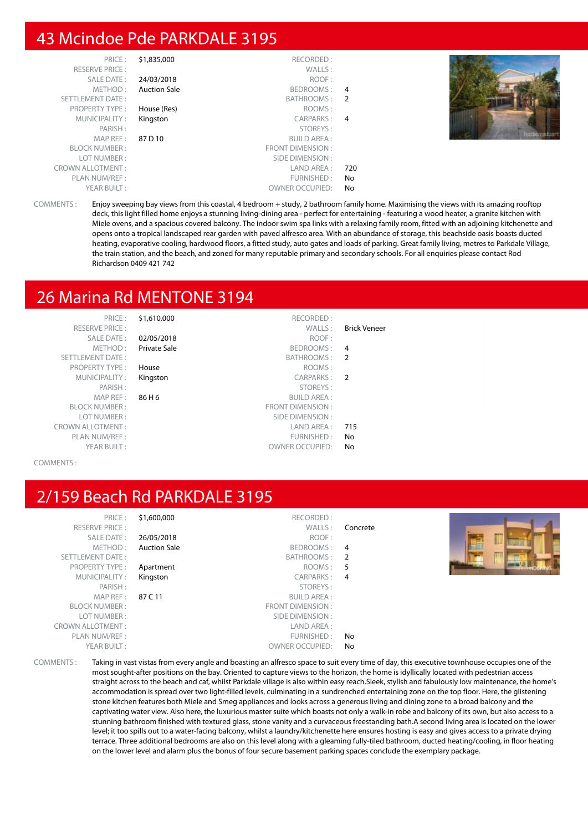### 43 Mcindoe Pde PARKDALE 3195

| PRICE:                  | \$1,835,000         | RECORDED:               |     |  |
|-------------------------|---------------------|-------------------------|-----|--|
| <b>RESERVE PRICE:</b>   |                     | WALLS:                  |     |  |
| SALE DATE:              | 24/03/2018          | ROOF:                   |     |  |
| METHOD:                 | <b>Auction Sale</b> | BEDROOMS:               | 4   |  |
| <b>SETTLEMENT DATE:</b> |                     | BATHROOMS:              | 2   |  |
| <b>PROPERTY TYPE:</b>   | House (Res)         | ROOMS:                  |     |  |
| MUNICIPALITY:           | Kingston            | CARPARKS:               | 4   |  |
| PARISH:                 |                     | STOREYS:                |     |  |
| MAP REF :               | 87 D 10             | <b>BUILD AREA:</b>      |     |  |
| <b>BLOCK NUMBER:</b>    |                     | <b>FRONT DIMENSION:</b> |     |  |
| LOT NUMBER:             |                     | SIDE DIMENSION:         |     |  |
| <b>CROWN ALLOTMENT:</b> |                     | LAND AREA:              | 720 |  |
| PLAN NUM/REF:           |                     | FURNISHED:              | No  |  |
| YEAR BUILT:             |                     | <b>OWNER OCCUPIED:</b>  | No  |  |



COMMENTS : Enjoy sweeping bay views from this coastal, 4 bedroom + study, 2 bathroom family home. Maximising the views with its amazing rooftop deck, this light filled home enjoys a stunning living-dining area - perfect for entertaining - featuring a wood heater, a granite kitchen with Miele ovens, and a spacious covered balcony. The indoor swim spa links with a relaxing family room, fitted with an adjoining kitchenette and opens onto a tropical landscaped rear garden with paved alfresco area. With an abundance of storage, this beachside oasis boasts ducted heating, evaporative cooling, hardwood floors, a fitted study, auto gates and loads of parking. Great family living, metres to Parkdale Village, the train station, and the beach, and zoned for many reputable primary and secondary schools. For all enquiries please contact Rod Richardson 0409 421 742

# 26 Marina Rd MENTONE 3194

PRICE : \$1,610,000 RECORDED : RESERVE PRICE : WALLS : Brick Veneer SETTLEMENT DATE : SETTLEMENT DATE : SATHROOMS : 2 PROPERTY TYPE : **House** ROOMS : MUNICIPALITY: Kingston PARISH:  $MAP REF : 86 H6$ BLOCK NUMBER : LOT NUMBER : PLAN NUM/REF :<br>
YEAR BUILT : THE STATE OWNER OCCUPIED: No

SALE DATE : 02/05/2018 ROOF : METHOD : **Private Sale BEDROOMS** :

|     | <b>TRUM</b><br>1100     |                         |
|-----|-------------------------|-------------------------|
|     | CARPARKS: 2             | MUNICIPALITY: Kingston  |
|     | STOREYS:                | PARISH:                 |
|     | <b>BUILD AREA:</b>      | MAP REF: $86 H6$        |
|     | <b>FRONT DIMENSION:</b> | <b>BLOCK NUMBER:</b>    |
|     | SIDE DIMENSION :        | LOT NUMBER:             |
| 715 | LAND AREA :             | <b>CROWN ALLOTMENT:</b> |
| No. | FURNISHFD:              | PI AN NIIM/REF          |

OWNER OCCUPIED: No

#### COMMENTS :

# 2/159 Beach Rd PARKDALE 3195

| PRICE:                  | \$1,600,000         | RECORDED:              |                |  |
|-------------------------|---------------------|------------------------|----------------|--|
| <b>RESERVE PRICE:</b>   |                     | WALLS:                 | Concrete       |  |
| SALE DATE:              | 26/05/2018          | ROOF:                  |                |  |
| METHOD:                 | <b>Auction Sale</b> | BEDROOMS:              | $\overline{4}$ |  |
| SETTLEMENT DATE:        |                     | BATHROOMS: 2           |                |  |
| <b>PROPERTY TYPE:</b>   | Apartment           | ROOMS:                 | 5 <sup>5</sup> |  |
| MUNICIPALITY:           | Kingston            | CARPARKS:              | - 4            |  |
| PARISH:                 |                     | STOREYS:               |                |  |
| MAP REF :               | 87 C 11             | <b>BUILD AREA:</b>     |                |  |
| <b>BLOCK NUMBER:</b>    |                     | FRONT DIMENSION :      |                |  |
| LOT NUMBER:             |                     | SIDE DIMENSION :       |                |  |
| <b>CROWN ALLOTMENT:</b> |                     | LAND AREA :            |                |  |
| PLAN NUM/REF:           |                     | FURNISHED:             | No             |  |
| YEAR BUILT:             |                     | <b>OWNER OCCUPIED:</b> | No             |  |

COMMENTS : Taking in vast vistas from every angle and boasting an alfresco space to suit every time of day, this executive townhouse occupies one of the most sought-after positions on the bay. Oriented to capture views to the horizon, the home is idyllically located with pedestrian access straight across to the beach and caf, whilst Parkdale village is also within easy reach.Sleek, stylish and fabulously low maintenance, the home's accommodation is spread over two light-filled levels, culminating in a sundrenched entertaining zone on the top floor. Here, the glistening stone kitchen features both Miele and Smeg appliances and looks across a generous living and dining zone to a broad balcony and the captivating water view. Also here, the luxurious master suite which boasts not only a walk-in robe and balcony of its own, but also access to a stunning bathroom finished with textured glass, stone vanity and a curvaceous freestanding bath.A second living area is located on the lower level; it too spills out to a water-facing balcony, whilst a laundry/kitchenette here ensures hosting is easy and gives access to a private drying terrace. Three additional bedrooms are also on this level along with a gleaming fully-tiled bathroom, ducted heating/cooling, in floor heating on the lower level and alarm plus the bonus of four secure basement parking spaces conclude the exemplary package.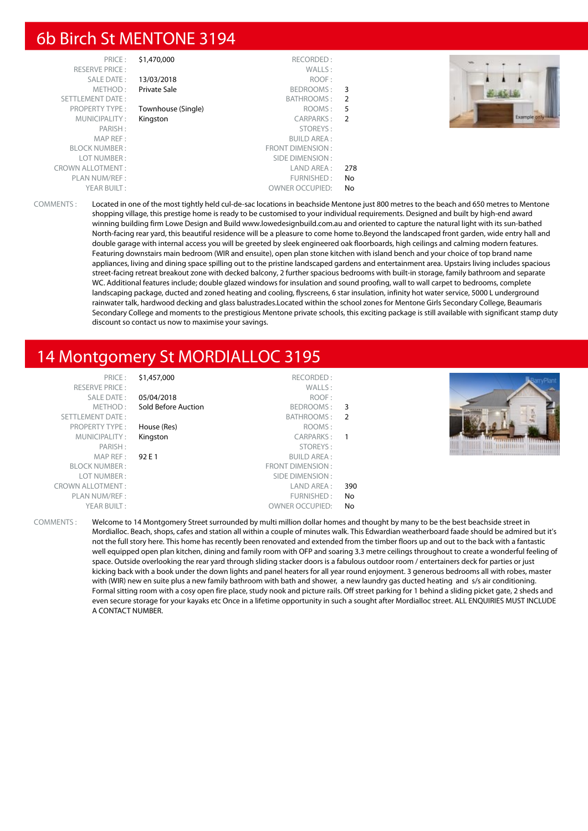#### 6b Birch St MENTONE 3194

| PRICE:<br><b>RESERVE PRICE:</b><br>SALE DATE:<br>METHOD:<br>SETTLEMENT DATE: | \$1,470,000<br>13/03/2018<br><b>Private Sale</b> | RECORDED:<br>WALLS:<br>ROOF:<br>BEDROOMS:<br>BATHROOMS: | - 3<br>- 2 |  |
|------------------------------------------------------------------------------|--------------------------------------------------|---------------------------------------------------------|------------|--|
|                                                                              |                                                  |                                                         |            |  |
|                                                                              |                                                  |                                                         |            |  |
|                                                                              |                                                  |                                                         |            |  |
| <b>PROPERTY TYPE:</b>                                                        | Townhouse (Single)                               | ROOMS:                                                  | 5          |  |
| MUNICIPALITY:                                                                | Kingston                                         | CARPARKS:                                               | 2          |  |
| PARISH:                                                                      |                                                  | STOREYS:                                                |            |  |
| MAP REF:                                                                     |                                                  | <b>BUILD AREA:</b>                                      |            |  |
| <b>BLOCK NUMBER:</b>                                                         |                                                  | FRONT DIMENSION:                                        |            |  |
| LOT NUMBER:                                                                  |                                                  | SIDE DIMENSION :                                        |            |  |
| <b>CROWN ALLOTMENT:</b>                                                      |                                                  | LAND AREA:                                              | 278        |  |
| PLAN NUM/REF:                                                                |                                                  | FURNISHED:                                              | No         |  |
| YEAR BUILT:                                                                  |                                                  | OWNER OCCUPIED:                                         | No         |  |
|                                                                              |                                                  |                                                         |            |  |



#### 14 Montgomery St MORDIALLOC 3195

COMMENTS : Welcome to 14 Montgomery Street surrounded by multi million dollar homes and thought by many to be the best beachside street in Mordialloc. Beach, shops, cafes and station all within a couple of minutes walk. This Edwardian weatherboard faade should be admired but it's not the full story here. This home has recently been renovated and extended from the timber floors up and out to the back with a fantastic well equipped open plan kitchen, dining and family room with OFP and soaring 3.3 metre ceilings throughout to create a wonderful feeling of space. Outside overlooking the rear yard through sliding stacker doors is a fabulous outdoor room / entertainers deck for parties or just kicking back with a book under the down lights and panel heaters for all year round enjoyment. 3 generous bedrooms all with robes, master with (WIR) new en suite plus a new family bathroom with bath and shower, a new laundry gas ducted heating and s/s air conditioning. Formal sitting room with a cosy open fire place, study nook and picture rails. Off street parking for 1 behind a sliding picket gate, 2 sheds and even secure storage for your kayaks etc Once in a lifetime opportunity in such a sought after Mordialloc street. ALL ENQUIRIES MUST INCLUDE A CONTACT NUMBER.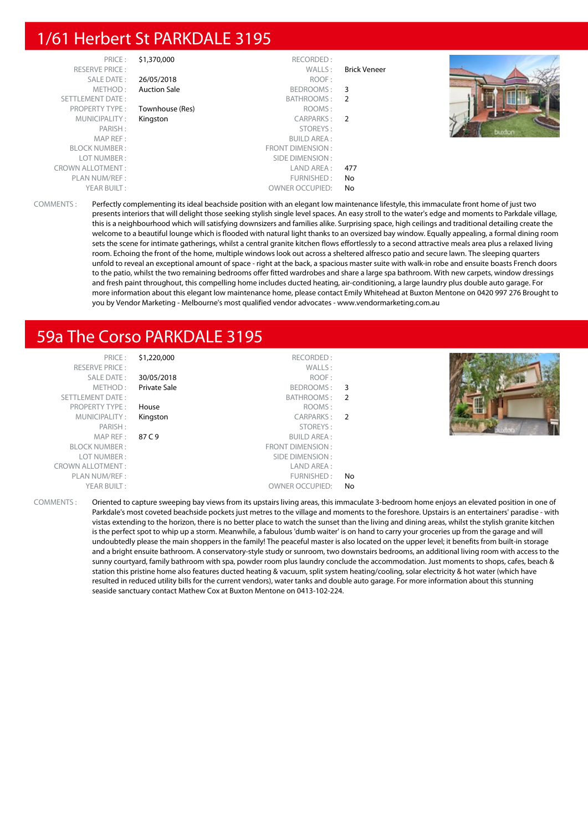# 1/61 Herbert St PARKDALE 3195

| PRICE:                  | \$1,370,000         | RECORDED:              |              |         |
|-------------------------|---------------------|------------------------|--------------|---------|
| <b>RESERVE PRICE:</b>   |                     | WALLS:                 | Brick Veneer |         |
| SALE DATE:              | 26/05/2018          | ROOF:                  |              |         |
| METHOD:                 | <b>Auction Sale</b> | BEDROOMS:              | 3            |         |
| SETTLEMENT DATE:        |                     | BATHROOMS: 2           |              |         |
| <b>PROPERTY TYPE:</b>   | Townhouse (Res)     | ROOMS:                 |              |         |
| MUNICIPALITY:           | Kingston            | CARPARKS: 2            |              |         |
| PARISH:                 |                     | STOREYS:               |              | bundian |
| MAP REF:                |                     | <b>BUILD AREA:</b>     |              |         |
| <b>BLOCK NUMBER:</b>    |                     | FRONT DIMENSION :      |              |         |
| LOT NUMBER:             |                     | SIDE DIMENSION :       |              |         |
| <b>CROWN ALLOTMENT:</b> |                     | LAND AREA :            | 477          |         |
| PLAN NUM/REF :          |                     | FURNISHED:             | No           |         |
| YEAR BUILT:             |                     | <b>OWNER OCCUPIED:</b> | No           |         |

COMMENTS : Perfectly complementing its ideal beachside position with an elegant low maintenance lifestyle, this immaculate front home of just two presents interiors that will delight those seeking stylish single level spaces. An easy stroll to the water's edge and moments to Parkdale village, this is a neighbourhood which will satisfying downsizers and families alike. Surprising space, high ceilings and traditional detailing create the welcome to a beautiful lounge which is flooded with natural light thanks to an oversized bay window. Equally appealing, a formal dining room sets the scene for intimate gatherings, whilst a central granite kitchen flows effortlessly to a second attractive meals area plus a relaxed living room. Echoing the front of the home, multiple windows look out across a sheltered alfresco patio and secure lawn. The sleeping quarters unfold to reveal an exceptional amount of space - right at the back, a spacious master suite with walk-in robe and ensuite boasts French doors to the patio, whilst the two remaining bedrooms offer fitted wardrobes and share a large spa bathroom. With new carpets, window dressings and fresh paint throughout, this compelling home includes ducted heating, air-conditioning, a large laundry plus double auto garage. For more information about this elegant low maintenance home, please contact Emily Whitehead at Buxton Mentone on 0420 997 276 Brought to you by Vendor Marketing - Melbourne's most qualified vendor advocates - www.vendormarketing.com.au

# 59a The Corso PARKDALE 3195

| PRICE:<br><b>RESERVE PRICE:</b><br><b>SALE DATE:</b> | \$1,220,000<br>30/05/2018 | RECORDED:<br>WALLS:<br>ROOF: |    |  |
|------------------------------------------------------|---------------------------|------------------------------|----|--|
| METHOD:                                              | Private Sale              | BEDROOMS: 3                  |    |  |
| SETTLEMENT DATE:                                     |                           | BATHROOMS: 2                 |    |  |
| <b>PROPERTY TYPE:</b>                                | House                     | ROOMS:                       |    |  |
| MUNICIPALITY:                                        | Kingston                  | CARPARKS: 2                  |    |  |
| PARISH:                                              |                           | STOREYS:                     |    |  |
| MAPREF:                                              | 87 C 9                    | <b>BUILD AREA:</b>           |    |  |
| <b>BLOCK NUMBER:</b>                                 |                           | FRONT DIMENSION:             |    |  |
| LOT NUMBER:                                          |                           | SIDE DIMENSION :             |    |  |
| <b>CROWN ALLOTMENT:</b>                              |                           | LAND AREA:                   |    |  |
| PLAN NUM/REF :                                       |                           | FURNISHED:                   | No |  |
| YEAR BUILT:                                          |                           | <b>OWNER OCCUPIED:</b>       | No |  |

COMMENTS : Oriented to capture sweeping bay views from its upstairs living areas, this immaculate 3-bedroom home enjoys an elevated position in one of Parkdale's most coveted beachside pockets just metres to the village and moments to the foreshore. Upstairs is an entertainers' paradise - with vistas extending to the horizon, there is no better place to watch the sunset than the living and dining areas, whilst the stylish granite kitchen is the perfect spot to whip up a storm. Meanwhile, a fabulous 'dumb waiter' is on hand to carry your groceries up from the garage and will undoubtedly please the main shoppers in the family! The peaceful master is also located on the upper level; it benefits from built-in storage and a bright ensuite bathroom. A conservatory-style study or sunroom, two downstairs bedrooms, an additional living room with access to the sunny courtyard, family bathroom with spa, powder room plus laundry conclude the accommodation. Just moments to shops, cafes, beach & station this pristine home also features ducted heating & vacuum, split system heating/cooling, solar electricity & hot water (which have resulted in reduced utility bills for the current vendors), water tanks and double auto garage. For more information about this stunning seaside sanctuary contact Mathew Cox at Buxton Mentone on 0413-102-224.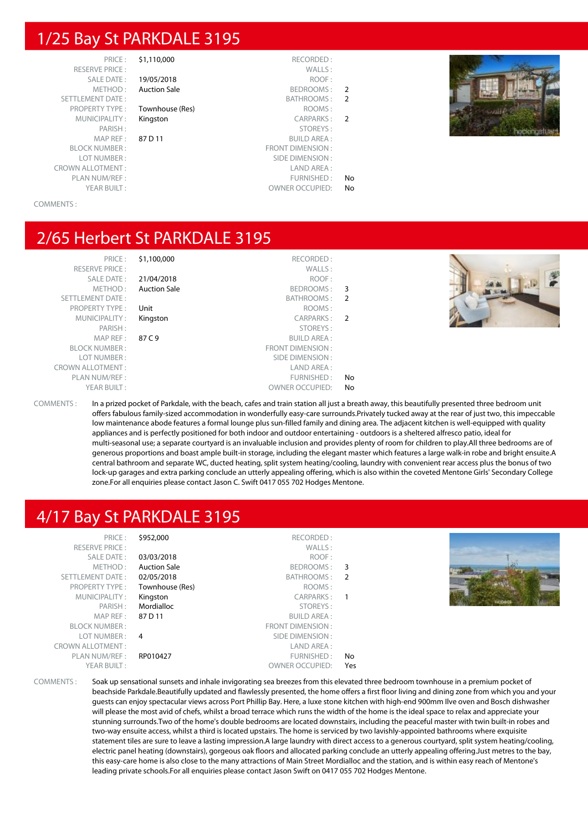#### 1/25 Bay St PARKDALE 3195

| PRICE:                  | \$1,110,000         | RECORDED:               |               |
|-------------------------|---------------------|-------------------------|---------------|
| <b>RESERVE PRICE:</b>   |                     | WALLS:                  |               |
| SALE DATE:              | 19/05/2018          | ROOF:                   |               |
| METHOD:                 | <b>Auction Sale</b> | BEDROOMS:               | $\mathcal{P}$ |
| <b>SETTLEMENT DATE:</b> |                     | BATHROOMS:              | $\mathcal{P}$ |
| <b>PROPERTY TYPE:</b>   | Townhouse (Res)     | ROOMS:                  |               |
| MUNICIPALITY:           | Kingston            | <b>CARPARKS:</b>        | $\mathcal{P}$ |
| PARISH:                 |                     | STOREYS:                |               |
| MAP REF:                | 87 D 11             | <b>BUILD AREA:</b>      |               |
| <b>BLOCK NUMBER:</b>    |                     | <b>FRONT DIMENSION:</b> |               |
| LOT NUMBER:             |                     | SIDE DIMENSION:         |               |
| <b>CROWN ALLOTMENT:</b> |                     | LAND AREA:              |               |
| PLAN NUM/REF :          |                     | FURNISHED:              | No            |
| YEAR BUILT:             |                     | <b>OWNER OCCUPIED:</b>  | No            |



#### COMMENTS :

#### 2/65 Herbert St PARKDALE 3195

|     | RECORDED:               | \$1,100,000         | PRICE:                  |
|-----|-------------------------|---------------------|-------------------------|
|     | WALLS:                  |                     | <b>RESERVE PRICE:</b>   |
|     | ROOF:                   | 21/04/2018          | SALE DATE:              |
| 3   | BEDROOMS:               | <b>Auction Sale</b> | METHOD:                 |
| - 2 | <b>BATHROOMS:</b>       |                     | <b>SETTLEMENT DATE:</b> |
|     | ROOMS:                  | Unit                | <b>PROPERTY TYPE:</b>   |
|     | CARPARKS: 2             | Kingston            | MUNICIPALITY:           |
|     | STOREYS:                |                     | PARISH:                 |
|     | <b>BUILD AREA:</b>      | 87 C 9              | MAP REF :               |
|     | <b>FRONT DIMENSION:</b> |                     | <b>BLOCK NUMBER:</b>    |
|     | SIDE DIMENSION :        |                     | LOT NUMBER:             |
|     | LAND AREA:              |                     | <b>CROWN ALLOTMENT:</b> |
| No  | FURNISHED:              |                     | PLAN NUM/REF :          |
| No  | <b>OWNER OCCUPIED:</b>  |                     | YEAR BUILT:             |

COMMENTS : In a prized pocket of Parkdale, with the beach, cafes and train station all just a breath away, this beautifully presented three bedroom unit offers fabulous family-sized accommodation in wonderfully easy-care surrounds.Privately tucked away at the rear of just two, this impeccable low maintenance abode features a formal lounge plus sun-filled family and dining area. The adjacent kitchen is well-equipped with quality appliances and is perfectly positioned for both indoor and outdoor entertaining - outdoors is a sheltered alfresco patio, ideal for multi-seasonal use; a separate courtyard is an invaluable inclusion and provides plenty of room for children to play.All three bedrooms are of generous proportions and boast ample built-in storage, including the elegant master which features a large walk-in robe and bright ensuite.A central bathroom and separate WC, ducted heating, split system heating/cooling, laundry with convenient rear access plus the bonus of two lock-up garages and extra parking conclude an utterly appealing offering, which is also within the coveted Mentone Girls' Secondary College zone.For all enquiries please contact Jason C. Swift 0417 055 702 Hodges Mentone.

#### 4/17 Bay St PARKDALE 3195

| \$952,000<br>RECORDED:<br>PRICE:<br>WALLS:<br><b>RESERVE PRICE:</b><br>03/03/2018<br>ROOF:<br>SALE DATE:<br>METHOD:<br><b>Auction Sale</b><br>BEDROOMS: 3<br>SETTLEMENT DATE:<br>02/05/2018<br>BATHROOMS: 2<br>Townhouse (Res)<br>ROOMS:<br><b>PROPERTY TYPE:</b><br>MUNICIPALITY:<br>CARPARKS:<br>Kingston<br>Mordialloc<br>PARISH:<br>STOREYS:<br>MAP REF:<br>87 D 11<br><b>BUILD AREA:</b><br>FRONT DIMENSION:<br><b>BLOCK NUMBER:</b><br>LOT NUMBER:<br>SIDE DIMENSION :<br>4<br><b>CROWN ALLOTMENT:</b><br>LAND AREA :<br>PLAN NUM/REF :<br>FURNISHED:<br>RP010427<br>YEAR BUILT:<br><b>OWNER OCCUPIED:</b> | No<br>Yes |  |
|------------------------------------------------------------------------------------------------------------------------------------------------------------------------------------------------------------------------------------------------------------------------------------------------------------------------------------------------------------------------------------------------------------------------------------------------------------------------------------------------------------------------------------------------------------------------------------------------------------------|-----------|--|
|------------------------------------------------------------------------------------------------------------------------------------------------------------------------------------------------------------------------------------------------------------------------------------------------------------------------------------------------------------------------------------------------------------------------------------------------------------------------------------------------------------------------------------------------------------------------------------------------------------------|-----------|--|

COMMENTS : Soak up sensational sunsets and inhale invigorating sea breezes from this elevated three bedroom townhouse in a premium pocket of beachside Parkdale.Beautifully updated and flawlessly presented, the home offers a first floor living and dining zone from which you and your guests can enjoy spectacular views across Port Phillip Bay. Here, a luxe stone kitchen with high-end 900mm Ilve oven and Bosch dishwasher will please the most avid of chefs, whilst a broad terrace which runs the width of the home is the ideal space to relax and appreciate your stunning surrounds.Two of the home's double bedrooms are located downstairs, including the peaceful master with twin built-in robes and two-way ensuite access, whilst a third is located upstairs. The home is serviced by two lavishly-appointed bathrooms where exquisite statement tiles are sure to leave a lasting impression.A large laundry with direct access to a generous courtyard, split system heating/cooling, electric panel heating (downstairs), gorgeous oak floors and allocated parking conclude an utterly appealing offering.Just metres to the bay, this easy-care home is also close to the many attractions of Main Street Mordialloc and the station, and is within easy reach of Mentone's leading private schools.For all enquiries please contact Jason Swift on 0417 055 702 Hodges Mentone.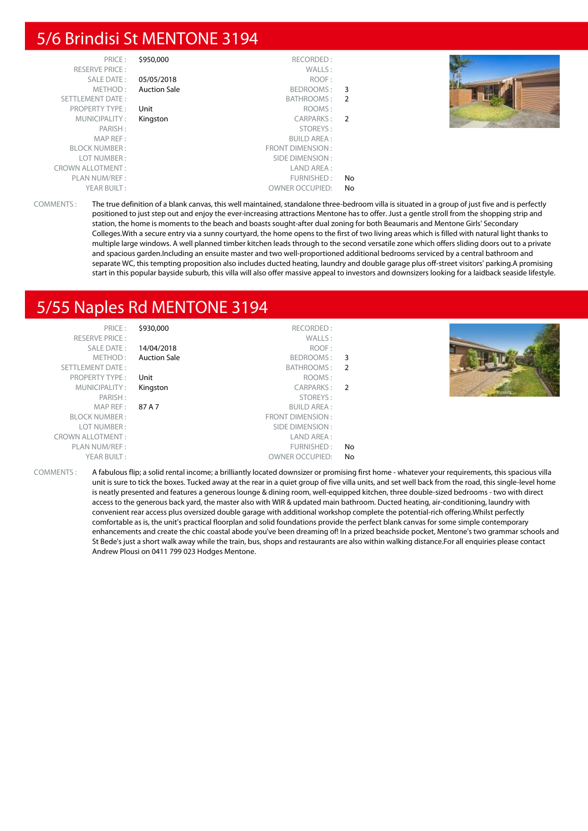#### 5/6 Brindisi St MENTONE 3194

| PRICE:<br><b>RESERVE PRICE:</b> | \$950,000           | RECORDED:<br>WALLS:    |                |  |
|---------------------------------|---------------------|------------------------|----------------|--|
| SALE DATE:                      | 05/05/2018          | ROOF:                  |                |  |
| METHOD:                         | <b>Auction Sale</b> | BEDROOMS:              | - 3            |  |
| SETTLEMENT DATE:                |                     | BATHROOMS:             | - 2            |  |
| <b>PROPERTY TYPE:</b>           | Unit                | ROOMS:                 |                |  |
| MUNICIPALITY:                   | Kingston            | CARPARKS:              | $\overline{2}$ |  |
| PARISH:                         |                     | STOREYS:               |                |  |
| MAP REF :                       |                     | <b>BUILD AREA:</b>     |                |  |
| <b>BLOCK NUMBER:</b>            |                     | FRONT DIMENSION:       |                |  |
| LOT NUMBER:                     |                     | SIDE DIMENSION :       |                |  |
| <b>CROWN ALLOTMENT:</b>         |                     | LAND AREA :            |                |  |
| PLAN NUM/REF :                  |                     | FURNISHED:             | No.            |  |
| YEAR BUILT:                     |                     | <b>OWNER OCCUPIED:</b> | No             |  |

COMMENTS : The true definition of a blank canvas, this well maintained, standalone three-bedroom villa is situated in a group of just five and is perfectly positioned to just step out and enjoy the ever-increasing attractions Mentone has to offer. Just a gentle stroll from the shopping strip and station, the home is moments to the beach and boasts sought-after dual zoning for both Beaumaris and Mentone Girls' Secondary Colleges.With a secure entry via a sunny courtyard, the home opens to the first of two living areas which is filled with natural light thanks to multiple large windows. A well planned timber kitchen leads through to the second versatile zone which offers sliding doors out to a private and spacious garden.Including an ensuite master and two well-proportioned additional bedrooms serviced by a central bathroom and separate WC, this tempting proposition also includes ducted heating, laundry and double garage plus off-street visitors' parking.A promising start in this popular bayside suburb, this villa will also offer massive appeal to investors and downsizers looking for a laidback seaside lifestyle.

### 5/55 Naples Rd MENTONE 3194

|    | RECORDED:              | \$930,000           | PRICE:                  |
|----|------------------------|---------------------|-------------------------|
|    | WALLS:                 |                     | <b>RESERVE PRICE:</b>   |
|    | ROOF:                  | 14/04/2018          | SALE DATE:              |
|    | BEDROOMS: 3            | <b>Auction Sale</b> | METHOD:                 |
|    | BATHROOMS: 2           |                     | SETTLEMENT DATE:        |
|    | ROOMS:                 | Unit                | PROPERTY TYPE:          |
|    | CARPARKS: 2            | Kingston            | MUNICIPALITY:           |
|    | STOREYS:               |                     | PARISH:                 |
|    | <b>BUILD AREA:</b>     | 87 A 7              | MAPREF:                 |
|    | FRONT DIMENSION:       |                     | <b>BLOCK NUMBER:</b>    |
|    | SIDE DIMENSION :       |                     | LOT NUMBER:             |
|    | LAND AREA:             |                     | <b>CROWN ALLOTMENT:</b> |
| No | FURNISHED:             |                     | PLAN NUM/REF :          |
| No | <b>OWNER OCCUPIED:</b> |                     | YEAR BUILT:             |

COMMENTS : A fabulous flip; a solid rental income; a brilliantly located downsizer or promising first home - whatever your requirements, this spacious villa unit is sure to tick the boxes. Tucked away at the rear in a quiet group of five villa units, and set well back from the road, this single-level home is neatly presented and features a generous lounge & dining room, well-equipped kitchen, three double-sized bedrooms - two with direct access to the generous back yard, the master also with WIR & updated main bathroom. Ducted heating, air-conditioning, laundry with convenient rear access plus oversized double garage with additional workshop complete the potential-rich offering.Whilst perfectly comfortable as is, the unit's practical floorplan and solid foundations provide the perfect blank canvas for some simple contemporary enhancements and create the chic coastal abode you've been dreaming of! In a prized beachside pocket, Mentone's two grammar schools and St Bede's just a short walk away while the train, bus, shops and restaurants are also within walking distance.For all enquiries please contact Andrew Plousi on 0411 799 023 Hodges Mentone.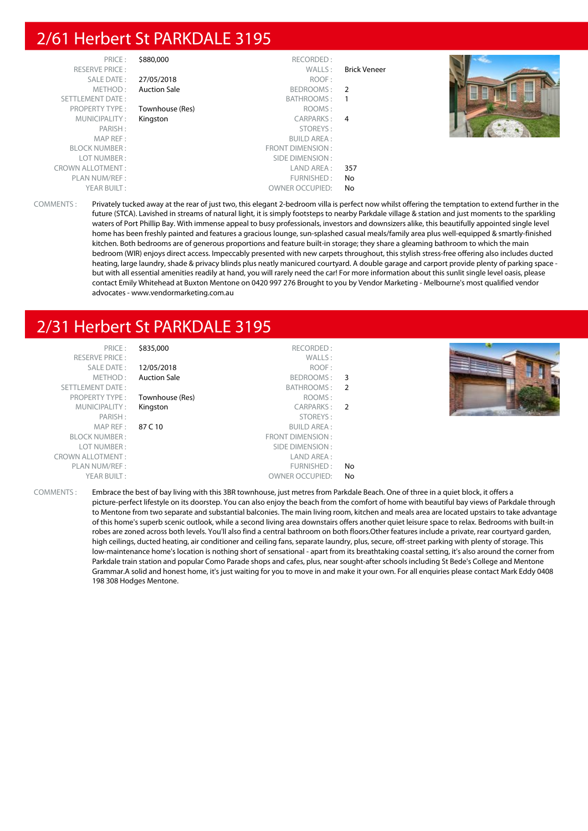# 2/61 Herbert St PARKDALE 3195

| PRICE:                  | \$880,000           | RECORDED:              |              |  |
|-------------------------|---------------------|------------------------|--------------|--|
| <b>RESERVE PRICE:</b>   |                     | WALLS:                 | Brick Veneer |  |
| SALE DATE:              | 27/05/2018          | ROOF:                  |              |  |
| METHOD:                 | <b>Auction Sale</b> | BEDROOMS: 2            |              |  |
| SETTLEMENT DATE:        |                     | BATHROOMS:             |              |  |
| <b>PROPERTY TYPE:</b>   | Townhouse (Res)     | ROOMS:                 |              |  |
| MUNICIPALITY:           | Kingston            | CARPARKS: 4            |              |  |
| PARISH:                 |                     | STOREYS:               |              |  |
| MAP REF:                |                     | <b>BUILD AREA:</b>     |              |  |
| <b>BLOCK NUMBER:</b>    |                     | FRONT DIMENSION:       |              |  |
| LOT NUMBER:             |                     | SIDE DIMENSION :       |              |  |
| <b>CROWN ALLOTMENT:</b> |                     | LAND AREA :            | 357          |  |
| PLAN NUM/REF :          |                     | FURNISHED:             | No           |  |
| YEAR BUILT:             |                     | <b>OWNER OCCUPIED:</b> | No           |  |

COMMENTS : Privately tucked away at the rear of just two, this elegant 2-bedroom villa is perfect now whilst offering the temptation to extend further in the future (STCA). Lavished in streams of natural light, it is simply footsteps to nearby Parkdale village & station and just moments to the sparkling waters of Port Phillip Bay. With immense appeal to busy professionals, investors and downsizers alike, this beautifully appointed single level home has been freshly painted and features a gracious lounge, sun-splashed casual meals/family area plus well-equipped & smartly-finished kitchen. Both bedrooms are of generous proportions and feature built-in storage; they share a gleaming bathroom to which the main bedroom (WIR) enjoys direct access. Impeccably presented with new carpets throughout, this stylish stress-free offering also includes ducted heating, large laundry, shade & privacy blinds plus neatly manicured courtyard. A double garage and carport provide plenty of parking space but with all essential amenities readily at hand, you will rarely need the car! For more information about this sunlit single level oasis, please contact Emily Whitehead at Buxton Mentone on 0420 997 276 Brought to you by Vendor Marketing - Melbourne's most qualified vendor advocates - www.vendormarketing.com.au

# 2/31 Herbert St PARKDALE 3195

| <b>FINIL</b> 1           |
|--------------------------|
| <b>RESERVE PRICE:</b>    |
| SAI F DAT F:             |
| MFTHOD:                  |
| <b>SETTI EMENT DATE:</b> |
| <b>PROPERTY TYPE:</b>    |
| MUNICIPALITY:            |
| PARISH:                  |
| MAP RFF:                 |
| <b>BI OCK NUMBER :</b>   |
| I OT NUMBER :            |
| ROWN ALLOTMENT :         |
| PLAN NUM/REF:            |
| YFAR BUILT:              |
|                          |

PRICE : \$835,000 RECORDED : RESERVE PRICE : WALLS : **12/05/2018** ROOF : Auction Sale **BEDROOMS** : 3 BATHROOMS : 2 Townhouse (Res) ROOMS : Kingston CARPARKS : 2 STOREYS :<br>PARISH : STOREYS : STOREYS : SUILD AREA : **BUILD AREA:** FRONT DIMENSION : SIDE DIMENSION : CROWN ALLOTMENT : LAND AREA : FURNISHED : No OWNER OCCUPIED: No



COMMENTS : Embrace the best of bay living with this 3BR townhouse, just metres from Parkdale Beach. One of three in a quiet block, it offers a picture-perfect lifestyle on its doorstep. You can also enjoy the beach from the comfort of home with beautiful bay views of Parkdale through to Mentone from two separate and substantial balconies. The main living room, kitchen and meals area are located upstairs to take advantage of this home's superb scenic outlook, while a second living area downstairs offers another quiet leisure space to relax. Bedrooms with built-in robes are zoned across both levels. You'll also find a central bathroom on both floors.Other features include a private, rear courtyard garden, high ceilings, ducted heating, air conditioner and ceiling fans, separate laundry, plus, secure, off-street parking with plenty of storage. This low-maintenance home's location is nothing short of sensational - apart from its breathtaking coastal setting, it's also around the corner from Parkdale train station and popular Como Parade shops and cafes, plus, near sought-after schools including St Bede's College and Mentone Grammar.A solid and honest home, it's just waiting for you to move in and make it your own. For all enquiries please contact Mark Eddy 0408 198 308 Hodges Mentone.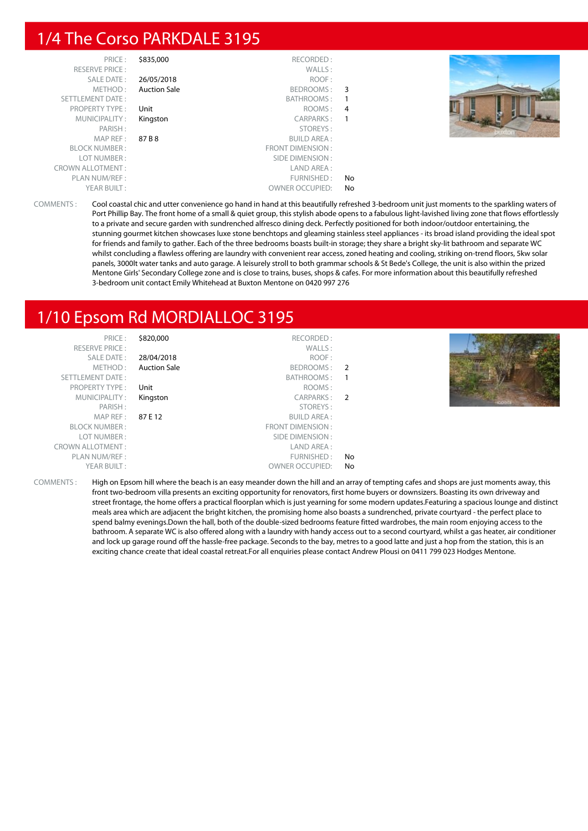### 1/4 The Corso PARKDALE 3195

| PRICE:                  | \$835,000           | RECORDED:              |    |  |
|-------------------------|---------------------|------------------------|----|--|
|                         |                     |                        |    |  |
| <b>RESERVE PRICE:</b>   |                     | WALLS:                 |    |  |
| SALE DATE:              | 26/05/2018          | ROOF:                  |    |  |
| METHOD:                 | <b>Auction Sale</b> | BEDROOMS: 3            |    |  |
| SETTLEMENT DATE:        |                     | BATHROOMS:             | -1 |  |
| <b>PROPERTY TYPE:</b>   | Unit                | ROOMS: 4               |    |  |
| MUNICIPALITY:           | Kingston            | CARPARKS: 1            |    |  |
| PARISH:                 |                     | STOREYS:               |    |  |
| MAPREF:                 | 87 B 8              | <b>BUILD AREA:</b>     |    |  |
| <b>BLOCK NUMBER:</b>    |                     | FRONT DIMENSION:       |    |  |
| LOT NUMBER:             |                     | SIDE DIMENSION :       |    |  |
| <b>CROWN ALLOTMENT:</b> |                     | LAND AREA:             |    |  |
| PLAN NUM/REF :          |                     | FURNISHED:             | No |  |
| YEAR BUILT:             |                     | <b>OWNER OCCUPIED:</b> | No |  |

COMMENTS : Cool coastal chic and utter convenience go hand in hand at this beautifully refreshed 3-bedroom unit just moments to the sparkling waters of Port Phillip Bay. The front home of a small & quiet group, this stylish abode opens to a fabulous light-lavished living zone that flows effortlessly to a private and secure garden with sundrenched alfresco dining deck. Perfectly positioned for both indoor/outdoor entertaining, the stunning gourmet kitchen showcases luxe stone benchtops and gleaming stainless steel appliances - its broad island providing the ideal spot for friends and family to gather. Each of the three bedrooms boasts built-in storage; they share a bright sky-lit bathroom and separate WC whilst concluding a flawless offering are laundry with convenient rear access, zoned heating and cooling, striking on-trend floors, 5kw solar panels, 3000lt water tanks and auto garage. A leisurely stroll to both grammar schools & St Bede's College, the unit is also within the prized Mentone Girls' Secondary College zone and is close to trains, buses, shops & cafes. For more information about this beautifully refreshed 3-bedroom unit contact Emily Whitehead at Buxton Mentone on 0420 997 276

# 1/10 Epsom Rd MORDIALLOC 3195

| PRICE:                  | \$820,000           | RECORDED:              |                |               |
|-------------------------|---------------------|------------------------|----------------|---------------|
| <b>RESERVE PRICE:</b>   |                     | WALLS:                 |                |               |
| SALE DATE:              | 28/04/2018          | ROOF:                  |                |               |
| METHOD:                 | <b>Auction Sale</b> | BEDROOMS: 2            |                |               |
| SETTLEMENT DATE:        |                     | BATHROOMS:             |                |               |
| <b>PROPERTY TYPE:</b>   | Unit                | ROOMS:                 |                |               |
| MUNICIPALITY:           | Kingston            | CARPARKS:              | $\overline{2}$ |               |
| PARISH:                 |                     | STOREYS:               |                | <b>KOOSTS</b> |
| MAP REF:                | 87 E 12             | <b>BUILD AREA:</b>     |                |               |
| <b>BLOCK NUMBER:</b>    |                     | FRONT DIMENSION :      |                |               |
| LOT NUMBER:             |                     | SIDE DIMENSION :       |                |               |
| <b>CROWN ALLOTMENT:</b> |                     | LAND AREA :            |                |               |
| PLAN NUM/REF :          |                     | FURNISHED:             | No             |               |
| YEAR BUILT:             |                     | <b>OWNER OCCUPIED:</b> | No             |               |
|                         |                     |                        |                |               |

COMMENTS : High on Epsom hill where the beach is an easy meander down the hill and an array of tempting cafes and shops are just moments away, this front two-bedroom villa presents an exciting opportunity for renovators, first home buyers or downsizers. Boasting its own driveway and street frontage, the home offers a practical floorplan which is just yearning for some modern updates.Featuring a spacious lounge and distinct meals area which are adjacent the bright kitchen, the promising home also boasts a sundrenched, private courtyard - the perfect place to spend balmy evenings.Down the hall, both of the double-sized bedrooms feature fitted wardrobes, the main room enjoying access to the bathroom. A separate WC is also offered along with a laundry with handy access out to a second courtyard, whilst a gas heater, air conditioner and lock up garage round off the hassle-free package. Seconds to the bay, metres to a good latte and just a hop from the station, this is an exciting chance create that ideal coastal retreat.For all enquiries please contact Andrew Plousi on 0411 799 023 Hodges Mentone.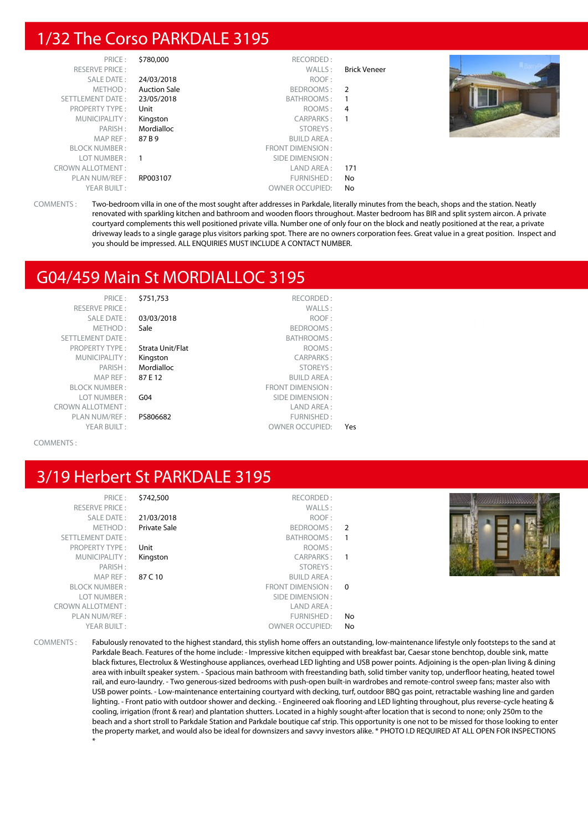# 1/32 The Corso PARKDALE 3195

| PRICE:                  | \$780,000           | RECORDED:              |                     |  |
|-------------------------|---------------------|------------------------|---------------------|--|
| <b>RESERVE PRICE:</b>   |                     | WALLS:                 | <b>Brick Veneer</b> |  |
| SALE DATE:              | 24/03/2018          | ROOF:                  |                     |  |
| METHOD:                 | <b>Auction Sale</b> | BEDROOMS:              | $\overline{2}$      |  |
| SETTLEMENT DATE:        | 23/05/2018          | BATHROOMS:             |                     |  |
| PROPERTY TYPE:          | Unit                | ROOMS:                 | 4                   |  |
| MUNICIPALITY:           | Kingston            | CARPARKS:              |                     |  |
| PARISH:                 | Mordialloc          | STOREYS:               |                     |  |
| MAPREF:                 | 87 B 9              | <b>BUILD AREA:</b>     |                     |  |
| <b>BLOCK NUMBER:</b>    |                     | FRONT DIMENSION:       |                     |  |
| LOT NUMBER :            | $\overline{1}$      | SIDE DIMENSION :       |                     |  |
| <b>CROWN ALLOTMENT:</b> |                     | LAND AREA :            | 171                 |  |
| PLAN NUM/REF :          | RP003107            | FURNISHED:             | No                  |  |
| YEAR BUILT:             |                     | <b>OWNER OCCUPIED:</b> | No                  |  |

COMMENTS : Two-bedroom villa in one of the most sought after addresses in Parkdale, literally minutes from the beach, shops and the station. Neatly renovated with sparkling kitchen and bathroom and wooden floors throughout. Master bedroom has BIR and split system aircon. A private courtyard complements this well positioned private villa. Number one of only four on the block and neatly positioned at the rear, a private driveway leads to a single garage plus visitors parking spot. There are no owners corporation fees. Great value in a great position. Inspect and you should be impressed. ALL ENQUIRIES MUST INCLUDE A CONTACT NUMBER.

### G04/459 Main St MORDIALLOC 3195

| PRICE:                  | \$751,753        | RECORDED:               |     |
|-------------------------|------------------|-------------------------|-----|
| <b>RESERVE PRICE:</b>   |                  | WALLS:                  |     |
| SALE DATE:              | 03/03/2018       | ROOF:                   |     |
| METHOD:                 | Sale             | BEDROOMS:               |     |
| <b>SETTLEMENT DATE:</b> |                  | BATHROOMS:              |     |
| <b>PROPERTY TYPE:</b>   | Strata Unit/Flat | ROOMS:                  |     |
| MUNICIPALITY:           | Kingston         | <b>CARPARKS:</b>        |     |
| PARISH:                 | Mordialloc       | STOREYS:                |     |
| $MAP$ RFF:              | 87E12            | <b>BUILD AREA:</b>      |     |
| <b>BLOCK NUMBER:</b>    |                  | <b>FRONT DIMENSION:</b> |     |
| LOT NUMBER:             | G <sub>04</sub>  | SIDE DIMENSION:         |     |
| <b>CROWN ALLOTMENT:</b> |                  | LAND AREA:              |     |
| PLAN NUM/REF:           | PS806682         | FURNISHED:              |     |
| YEAR BUILT:             |                  | <b>OWNER OCCUPIED:</b>  | Υρς |

COMMENTS :

# 3/19 Herbert St PARKDALE 3195

| PRICE:                  | \$742,500    | RECORDED:          |                |  |
|-------------------------|--------------|--------------------|----------------|--|
| RESERVE PRICE:          |              | WALLS:             |                |  |
| SALE DATE:              | 21/03/2018   | ROOF:              |                |  |
| METHOD:                 | Private Sale | BEDROOMS:          | $\overline{2}$ |  |
| SETTLEMENT DATE:        |              | BATHROOMS:         |                |  |
| PROPERTY TYPE:          | Unit         | ROOMS:             |                |  |
| MUNICIPALITY:           | Kingston     | CARPARKS:          |                |  |
| PARISH:                 |              | STOREYS:           |                |  |
| MAPREF:                 | 87 C 10      | <b>BUILD AREA:</b> |                |  |
| <b>BLOCK NUMBER:</b>    |              | FRONT DIMENSION: 0 |                |  |
| LOT NUMBER:             |              | SIDE DIMENSION :   |                |  |
| <b>CROWN ALLOTMENT:</b> |              | LAND AREA :        |                |  |
| PLAN NUM/REF:           |              | FURNISHED:         | No             |  |
| YFAR BUILT:             |              | OWNER OCCUPIED:    | No             |  |

COMMENTS : Fabulously renovated to the highest standard, this stylish home offers an outstanding, low-maintenance lifestyle only footsteps to the sand at Parkdale Beach. Features of the home include: - Impressive kitchen equipped with breakfast bar, Caesar stone benchtop, double sink, matte black fixtures, Electrolux & Westinghouse appliances, overhead LED lighting and USB power points. Adjoining is the open-plan living & dining area with inbuilt speaker system. - Spacious main bathroom with freestanding bath, solid timber vanity top, underfloor heating, heated towel rail, and euro-laundry. - Two generous-sized bedrooms with push-open built-in wardrobes and remote-control sweep fans; master also with USB power points. - Low-maintenance entertaining courtyard with decking, turf, outdoor BBQ gas point, retractable washing line and garden lighting. - Front patio with outdoor shower and decking. - Engineered oak flooring and LED lighting throughout, plus reverse-cycle heating & cooling, irrigation (front & rear) and plantation shutters. Located in a highly sought-after location that is second to none; only 250m to the beach and a short stroll to Parkdale Station and Parkdale boutique caf strip. This opportunity is one not to be missed for those looking to enter the property market, and would also be ideal for downsizers and savvy investors alike. \* PHOTO I.D REQUIRED AT ALL OPEN FOR INSPECTIONS \*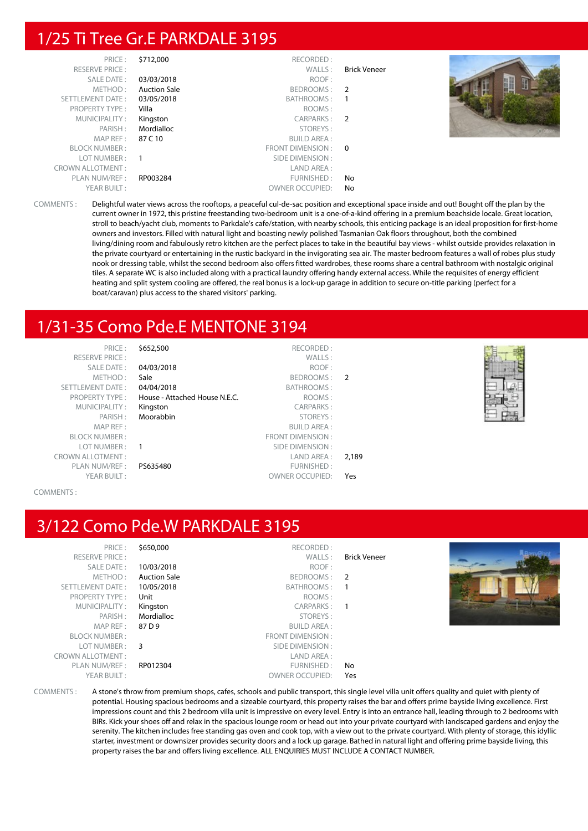# 1/25 Ti Tree Gr.E PARKDALE 3195

| PRICE:                  | \$712,000                | RECORDED:              |                     |  |
|-------------------------|--------------------------|------------------------|---------------------|--|
| <b>RESERVE PRICE:</b>   |                          | WALLS:                 | <b>Brick Veneer</b> |  |
| SALE DATE:              | 03/03/2018               | ROOF:                  |                     |  |
| METHOD:                 | <b>Auction Sale</b>      | BEDROOMS:              | $\overline{2}$      |  |
| SETTLEMENT DATE:        | 03/05/2018               | BATHROOMS:             |                     |  |
| <b>PROPERTY TYPE:</b>   | Villa                    | ROOMS:                 |                     |  |
| MUNICIPALITY:           | Kingston                 | CARPARKS: 2            |                     |  |
| PARISH:                 | Mordialloc               | STOREYS:               |                     |  |
| MAP REF:                | 87 C 10                  | <b>BUILD AREA:</b>     |                     |  |
| <b>BLOCK NUMBER:</b>    |                          | FRONT DIMENSION: 0     |                     |  |
| LOT NUMBER:             | $\overline{\phantom{0}}$ | SIDE DIMENSION :       |                     |  |
| <b>CROWN ALLOTMENT:</b> |                          | LAND AREA:             |                     |  |
| PLAN NUM/REF :          | RP003284                 | FURNISHED:             | No                  |  |
| YEAR BUILT:             |                          | <b>OWNER OCCUPIED:</b> | No                  |  |

COMMENTS : Delightful water views across the rooftops, a peaceful cul-de-sac position and exceptional space inside and out! Bought off the plan by the current owner in 1972, this pristine freestanding two-bedroom unit is a one-of-a-kind offering in a premium beachside locale. Great location, stroll to beach/yacht club, moments to Parkdale's cafe/station, with nearby schools, this enticing package is an ideal proposition for first-home owners and investors. Filled with natural light and boasting newly polished Tasmanian Oak floors throughout, both the combined living/dining room and fabulously retro kitchen are the perfect places to take in the beautiful bay views - whilst outside provides relaxation in the private courtyard or entertaining in the rustic backyard in the invigorating sea air. The master bedroom features a wall of robes plus study nook or dressing table, whilst the second bedroom also offers fitted wardrobes, these rooms share a central bathroom with nostalgic original tiles. A separate WC is also included along with a practical laundry offering handy external access. While the requisites of energy efficient heating and split system cooling are offered, the real bonus is a lock-up garage in addition to secure on-title parking (perfect for a boat/caravan) plus access to the shared visitors' parking.

# 1/31-35 Como Pde.E MENTONE 3194

| PRICE:                  | \$652,500                     | RECORDED:              |               |
|-------------------------|-------------------------------|------------------------|---------------|
| <b>RESERVE PRICE:</b>   |                               | WALLS:                 |               |
| SALE DATE:              | 04/03/2018                    | ROOF:                  |               |
| METHOD:                 | Sale                          | BEDROOMS:              | $\mathcal{P}$ |
| <b>SETTLEMENT DATE:</b> | 04/04/2018                    | BATHROOMS:             |               |
| <b>PROPERTY TYPE:</b>   | House - Attached House N.E.C. | ROOMS:                 |               |
| MUNICIPALITY:           | Kingston                      | <b>CARPARKS:</b>       |               |
| PARISH:                 | Moorabbin                     | STOREYS:               |               |
| MAP REF:                |                               | <b>BUILD AREA:</b>     |               |
| <b>BLOCK NUMBER:</b>    |                               | FRONT DIMENSION:       |               |
| LOT NUMBER:             |                               | SIDE DIMENSION:        |               |
| <b>CROWN ALLOTMENT:</b> |                               | LAND AREA :            | 2,189         |
| PLAN NUM/REF:           | PS635480                      | FURNISHED:             |               |
| YEAR BUILT:             |                               | <b>OWNER OCCUPIED:</b> | Yes           |
|                         |                               |                        |               |

COMMENTS :

# 3/122 Como Pde.W PARKDALE 3195

| PRICE:<br><b>RESERVE PRICE:</b><br><b>SALE DATE:</b><br>METHOD:<br>SETTLEMENT DATE:<br><b>PROPERTY TYPE:</b>                             | \$650,000<br>10/03/2018<br><b>Auction Sale</b><br>10/05/2018<br>Unit    | RECORDED:<br>WALLS:<br>ROOF:<br>BEDROOMS:<br>BATHROOMS:<br>ROOMS:<br>CARPARKS:                                                | <b>Brick Veneer</b><br>2<br>- 1<br>-1 |  |
|------------------------------------------------------------------------------------------------------------------------------------------|-------------------------------------------------------------------------|-------------------------------------------------------------------------------------------------------------------------------|---------------------------------------|--|
| MUNICIPALITY:<br>PARISH:<br>MAP REF :<br><b>BLOCK NUMBER:</b><br>LOT NUMBER:<br><b>CROWN ALLOTMENT:</b><br>PLAN NUM/REF :<br>YEAR BUILT: | Kingston<br>Mordialloc<br>87 D 9<br>$\overline{\mathbf{3}}$<br>RP012304 | STOREYS:<br><b>BUILD AREA:</b><br>FRONT DIMENSION:<br>SIDE DIMENSION :<br>LAND AREA :<br>FURNISHED:<br><b>OWNER OCCUPIED:</b> | No<br>Yes                             |  |

COMMENTS : A stone's throw from premium shops, cafes, schools and public transport, this single level villa unit offers quality and quiet with plenty of potential. Housing spacious bedrooms and a sizeable courtyard, this property raises the bar and offers prime bayside living excellence. First impressions count and this 2 bedroom villa unit is impressive on every level. Entry is into an entrance hall, leading through to 2 bedrooms with BIRs. Kick your shoes off and relax in the spacious lounge room or head out into your private courtyard with landscaped gardens and enjoy the serenity. The kitchen includes free standing gas oven and cook top, with a view out to the private courtyard. With plenty of storage, this idyllic starter, investment or downsizer provides security doors and a lock up garage. Bathed in natural light and offering prime bayside living, this property raises the bar and offers living excellence. ALL ENQUIRIES MUST INCLUDE A CONTACT NUMBER.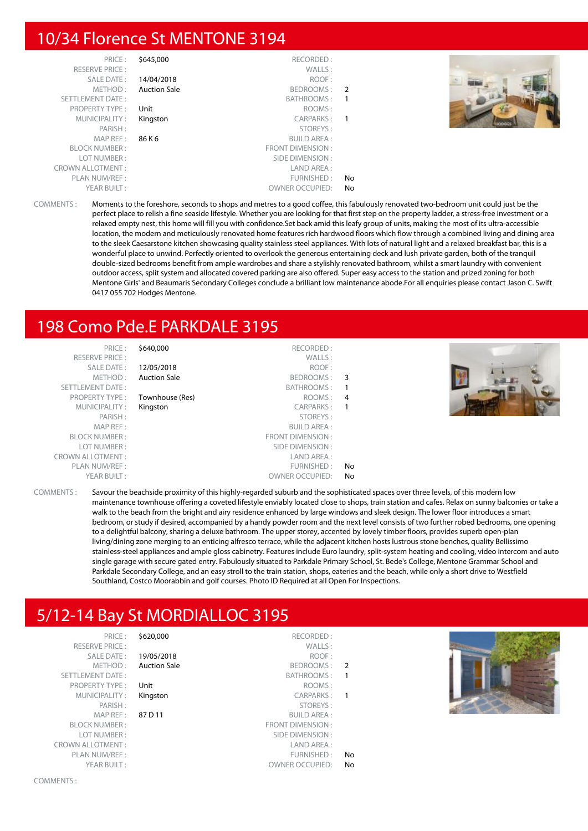### 10/34 Florence St MENTONE 3194

| PRICE:                  | \$645,000           | RECORDED:              |               |
|-------------------------|---------------------|------------------------|---------------|
| <b>RESERVE PRICE:</b>   |                     | WALLS:                 |               |
| SALE DATE:              | 14/04/2018          | ROOF:                  |               |
| METHOD:                 | <b>Auction Sale</b> | BEDROOMS:              | $\mathcal{P}$ |
| <b>SETTLEMENT DATE:</b> |                     | BATHROOMS:             |               |
| <b>PROPERTY TYPE:</b>   | Unit                | ROOMS:                 |               |
| MUNICIPALITY:           | Kingston            | CARPARKS:              |               |
| PARISH:                 |                     | STOREYS:               |               |
| MAP REF :               | 86 K 6              | <b>BUILD AREA:</b>     |               |
| <b>BLOCK NUMBER:</b>    |                     | FRONT DIMENSION:       |               |
| LOT NUMBER:             |                     | SIDE DIMENSION:        |               |
| <b>CROWN ALLOTMENT:</b> |                     | LAND AREA:             |               |
| PLAN NUM/REF:           |                     | FURNISHED:             | No            |
| YEAR BUILT:             |                     | <b>OWNER OCCUPIED:</b> | No            |



COMMENTS : Moments to the foreshore, seconds to shops and metres to a good coffee, this fabulously renovated two-bedroom unit could just be the perfect place to relish a fine seaside lifestyle. Whether you are looking for that first step on the property ladder, a stress-free investment or a relaxed empty nest, this home will fill you with confidence.Set back amid this leafy group of units, making the most of its ultra-accessible location, the modern and meticulously renovated home features rich hardwood floors which flow through a combined living and dining area to the sleek Caesarstone kitchen showcasing quality stainless steel appliances. With lots of natural light and a relaxed breakfast bar, this is a wonderful place to unwind. Perfectly oriented to overlook the generous entertaining deck and lush private garden, both of the tranquil double-sized bedrooms benefit from ample wardrobes and share a stylishly renovated bathroom, whilst a smart laundry with convenient outdoor access, split system and allocated covered parking are also offered. Super easy access to the station and prized zoning for both Mentone Girls' and Beaumaris Secondary Colleges conclude a brilliant low maintenance abode.For all enquiries please contact Jason C. Swift 0417 055 702 Hodges Mentone.

# 198 Como Pde.E PARKDALE 3195

PRICE : \$640,000 RECORDED : RESERVE PRICE : WALLS : SALE DATE : **12/05/2018** ROOF : METHOD: Auction Sale BEDROOMS: 3 SETTLEMENT DATE :<br>
BATHROOMS : 1<br>
BROPERTY TYPE : **Townhouse (Res)** BOOMS : 1 **Townhouse (Res)** ROOMS : 4 MUNICIPALITY: Kingston CARPARKS: 1 PARISH : STOREYS : MAP REF : BUILD AREA : ERONT DIMENSION :<br>Example of the contract of the contract of the contract of the contract of the contract of the contract of the<br>SIDE DIMENSION : SIDE DIMENSION : CROWN ALLOTMENT : LAND AREA : PLAN NUM/RFF : The set of the set of the set of the set of the set of the set of the set of the set of the set of the set of the set of the set of the set of the set of the set of the set of the set of the set of the set o YEAR BUILT : OWNER OCCUPIED: No



COMMENTS : Savour the beachside proximity of this highly-regarded suburb and the sophisticated spaces over three levels, of this modern low maintenance townhouse offering a coveted lifestyle enviably located close to shops, train station and cafes. Relax on sunny balconies or take a walk to the beach from the bright and airy residence enhanced by large windows and sleek design. The lower floor introduces a smart bedroom, or study if desired, accompanied by a handy powder room and the next level consists of two further robed bedrooms, one opening to a delightful balcony, sharing a deluxe bathroom. The upper storey, accented by lovely timber floors, provides superb open-plan living/dining zone merging to an enticing alfresco terrace, while the adjacent kitchen hosts lustrous stone benches, quality Bellissimo stainless-steel appliances and ample gloss cabinetry. Features include Euro laundry, split-system heating and cooling, video intercom and auto single garage with secure gated entry. Fabulously situated to Parkdale Primary School, St. Bede's College, Mentone Grammar School and Parkdale Secondary College, and an easy stroll to the train station, shops, eateries and the beach, while only a short drive to Westfield Southland, Costco Moorabbin and golf courses. Photo ID Required at all Open For Inspections.

# 5/12-14 Bay St MORDIALLOC 3195

RESERVE PRICE : SALE DATE: 19/05/2018 SETTLEMENT DATE: PROPERTY TYPE : Unit MUNICIPALITY : Kingston MAP REF : 87 D 11 BLOCK NUMBER : LOT NUMBER : CROWN ALLOTMENT :

PRICE : \$620,000 RECORDED : METHOD: Auction Sale PARISH : STOREYS :

|                | WALLS:                           | RESERVE PRICE :                 |
|----------------|----------------------------------|---------------------------------|
|                | 19/05/2018<br>ROOF:              | <b>SALE DATE:</b>               |
| $\overline{2}$ | <b>Auction Sale</b><br>BEDROOMS: | METHOD:                         |
|                | BATHROOMS:                       | <b>TTLEMENT DATE:</b>           |
|                | Unit<br>ROOMS:                   | <b>PROPERTY TYPE:</b>           |
|                | Kingston<br>CARPARKS:            | MUNICIPALITY:                   |
|                | STOREYS:                         | PARISH:                         |
|                | 87 D 11<br><b>BUILD AREA:</b>    | MAP REF:                        |
|                | <b>FRONT DIMENSION:</b>          | <b>BLOCK NUMBER:</b>            |
|                | SIDE DIMENSION:                  | LOT NUMBER:                     |
|                | LAND AREA:                       | WN ALLOTMENT :                  |
| No             | FURNISHED:                       | PLAN NUM/REF:                   |
| N <sub>0</sub> | OWNER OCCUPIED:                  | $YFAR$ $R$ $I$ $II$ $I$ $\cdot$ |

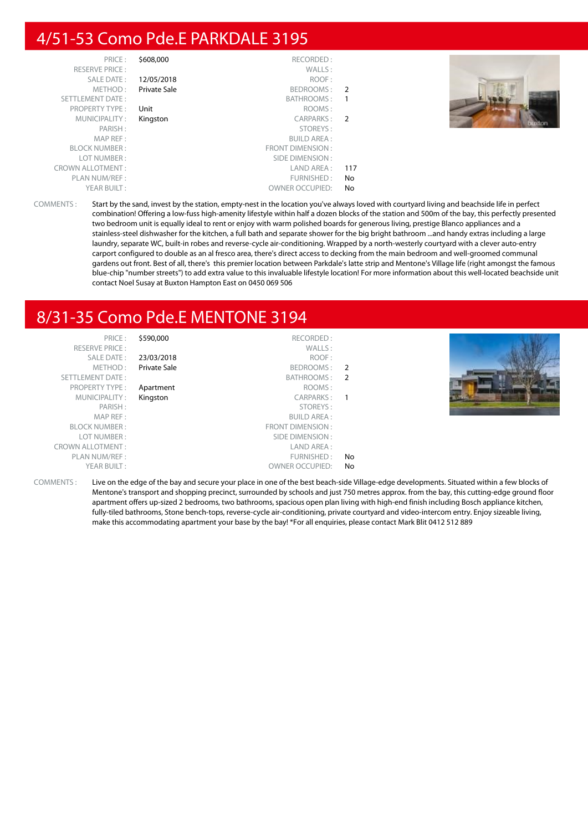# 4/51-53 Como Pde.E PARKDALE 3195

| PRICE:                  | \$608,000    | RECORDED:              |                |  |
|-------------------------|--------------|------------------------|----------------|--|
| <b>RESERVE PRICE:</b>   |              | WALLS:                 |                |  |
| <b>SALE DATE:</b>       | 12/05/2018   | ROOF:                  |                |  |
| METHOD:                 | Private Sale | BEDROOMS:              | $\overline{2}$ |  |
| <b>SETTLEMENT DATE:</b> |              | BATHROOMS:             |                |  |
| <b>PROPERTY TYPE:</b>   | Unit         | ROOMS:                 |                |  |
| MUNICIPALITY:           | Kingston     | CARPARKS:              | 2              |  |
| PARISH:                 |              | STOREYS:               |                |  |
| MAP REF:                |              | <b>BUILD AREA:</b>     |                |  |
| <b>BLOCK NUMBER:</b>    |              | FRONT DIMENSION:       |                |  |
| LOT NUMBER:             |              | SIDE DIMENSION:        |                |  |
| <b>CROWN ALLOTMENT:</b> |              | LAND AREA :            | 117            |  |
| PLAN NUM/REF:           |              | FURNISHED:             | No             |  |
| YEAR BUILT:             |              | <b>OWNER OCCUPIED:</b> | No             |  |



COMMENTS : Start by the sand, invest by the station, empty-nest in the location you've always loved with courtyard living and beachside life in perfect combination! Offering a low-fuss high-amenity lifestyle within half a dozen blocks of the station and 500m of the bay, this perfectly presented two bedroom unit is equally ideal to rent or enjoy with warm polished boards for generous living, prestige Blanco appliances and a stainless-steel dishwasher for the kitchen, a full bath and separate shower for the big bright bathroom ...and handy extras including a large laundry, separate WC, built-in robes and reverse-cycle air-conditioning. Wrapped by a north-westerly courtyard with a clever auto-entry carport configured to double as an al fresco area, there's direct access to decking from the main bedroom and well-groomed communal gardens out front. Best of all, there's this premier location between Parkdale's latte strip and Mentone's Village life (right amongst the famous blue-chip "number streets") to add extra value to this invaluable lifestyle location! For more information about this well-located beachside unit contact Noel Susay at Buxton Hampton East on 0450 069 506

# 8/31-35 Como Pde.E MENTONE 3194

PRICE : \$590,000 RECORDED : RESERVE PRICE : WALLS : SALE DATE : 23/03/2018 ROOF : METHOD : **Private Sale** BEDROOMS : 2<br>
ENT DATE : 2<br>
BATHROOMS : 2 SETTLEMENT DATE : SETTLEMENT DATE : SATHROOMS : 2 PROPERTY TYPE : **Apartment** ROOMS : MUNICIPALITY : Kingston CARPARKS : 1 PARISH : STOREYS : MAP REF : BUILD AREA : FRONT DIMENSION : LOT NUMBER : SIDE DIMENSION :<br>
VALLOTMENT : SIDE DIMENSION : SIDE DIMENSION : CROWN ALLOTMENT: PLAN NUM/REF :  $\blacksquare$ YEAR BUILT : OWNER OCCUPIED: No COMMENTS : Live on the edge of the bay and secure your place in one of the best beach-side Village-edge developments. Situated within a few blocks of

Mentone's transport and shopping precinct, surrounded by schools and just 750 metres approx. from the bay, this cutting-edge ground floor apartment offers up-sized 2 bedrooms, two bathrooms, spacious open plan living with high-end finish including Bosch appliance kitchen, fully-tiled bathrooms, Stone bench-tops, reverse-cycle air-conditioning, private courtyard and video-intercom entry. Enjoy sizeable living, make this accommodating apartment your base by the bay! \*For all enquiries, please contact Mark Blit 0412 512 889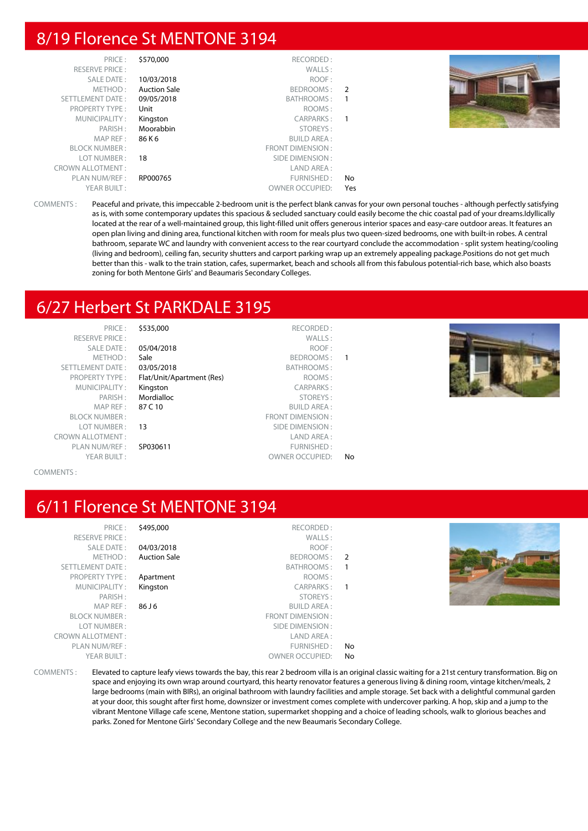# 8/19 Florence St MENTONE 3194

| PRICE:                  | \$570,000           | RECORDED:              |                  |  |
|-------------------------|---------------------|------------------------|------------------|--|
| <b>RESERVE PRICE:</b>   |                     | WALLS:                 |                  |  |
| SALE DATE:              | 10/03/2018          | ROOF:                  |                  |  |
| METHOD:                 | <b>Auction Sale</b> | BEDROOMS: 2            |                  |  |
| SETTLEMENT DATE:        | 09/05/2018          | BATHROOMS:             | - 1              |  |
| <b>PROPERTY TYPE:</b>   | Unit                | ROOMS:                 |                  |  |
| MUNICIPALITY:           | Kingston            | CARPARKS:              | $\blacksquare$ 1 |  |
| PARISH:                 | Moorabbin           | STOREYS:               |                  |  |
| MAP REF :               | 86 K 6              | <b>BUILD AREA:</b>     |                  |  |
| <b>BLOCK NUMBER:</b>    |                     | FRONT DIMENSION:       |                  |  |
| LOT NUMBER:             | 18                  | SIDE DIMENSION :       |                  |  |
| <b>CROWN ALLOTMENT:</b> |                     | LAND AREA :            |                  |  |
| PLAN NUM/REF :          | RP000765            | FURNISHED:             | No               |  |
| YEAR BUILT:             |                     | <b>OWNER OCCUPIED:</b> | Yes              |  |

COMMENTS : Peaceful and private, this impeccable 2-bedroom unit is the perfect blank canvas for your own personal touches - although perfectly satisfying as is, with some contemporary updates this spacious & secluded sanctuary could easily become the chic coastal pad of your dreams.Idyllically located at the rear of a well-maintained group, this light-filled unit offers generous interior spaces and easy-care outdoor areas. It features an open plan living and dining area, functional kitchen with room for meals plus two queen-sized bedrooms, one with built-in robes. A central bathroom, separate WC and laundry with convenient access to the rear courtyard conclude the accommodation - split system heating/cooling (living and bedroom), ceiling fan, security shutters and carport parking wrap up an extremely appealing package.Positions do not get much better than this - walk to the train station, cafes, supermarket, beach and schools all from this fabulous potential-rich base, which also boasts zoning for both Mentone Girls' and Beaumaris Secondary Colleges.

# 6/27 Herbert St PARKDALE 3195

| PRICE:                  | \$535,000                 | RECORDED:               |    |
|-------------------------|---------------------------|-------------------------|----|
| <b>RESERVE PRICE:</b>   |                           | WALLS:                  |    |
| <b>SALE DATE:</b>       | 05/04/2018                | ROOF:                   |    |
| METHOD:                 | Sale                      | BEDROOMS:               | 1  |
| <b>SETTLEMENT DATE:</b> | 03/05/2018                | BATHROOMS:              |    |
| <b>PROPERTY TYPE:</b>   | Flat/Unit/Apartment (Res) | ROOMS:                  |    |
| MUNICIPALITY:           | Kingston                  | <b>CARPARKS:</b>        |    |
| PARISH:                 | Mordialloc                | STOREYS:                |    |
| MAP REF:                | 87 C 10                   | <b>BUILD AREA:</b>      |    |
| <b>BLOCK NUMBER:</b>    |                           | <b>FRONT DIMENSION:</b> |    |
| LOT NUMBER:             | 13                        | SIDE DIMENSION:         |    |
| <b>CROWN ALLOTMENT:</b> |                           | LAND AREA:              |    |
| PLAN NUM/REF:           | SP030611                  | FURNISHED:              |    |
| YEAR BUILT:             |                           | <b>OWNER OCCUPIED:</b>  | No |



COMMENTS :

### 6/11 Florence St MENTONE 3194

| PRIL F'                 |
|-------------------------|
| <b>RESERVE PRICE:</b>   |
| SAI F DATF:             |
| MFTHOD:                 |
| <b>SETTLEMENT DATE:</b> |
| <b>PROPERTY TYPE:</b>   |
| MUNICIPALITY:           |
| PARISH:                 |
| MAP RFF:                |
| <b>BI OCK NUMBER :</b>  |
| I OT NUMBER :           |
| <b>CROWN ALLOTMENT:</b> |
| PLAN NUM/REF :          |
| YFAR BUILT:             |
|                         |

| \$495,000           | RECORDED:               |               |
|---------------------|-------------------------|---------------|
|                     | WALLS:                  |               |
| 04/03/2018          | ROOF:                   |               |
| <b>Auction Sale</b> | <b>BEDROOMS:</b>        | $\mathcal{P}$ |
|                     | BATHROOMS:              | 1             |
| Apartment           | ROOMS:                  |               |
| Kingston            | <b>CARPARKS:</b>        |               |
|                     | STOREYS:                |               |
| 86 J 6              | <b>BUILD AREA:</b>      |               |
|                     | <b>FRONT DIMENSION:</b> |               |
|                     | SIDE DIMENSION:         |               |
|                     | LAND AREA:              |               |
|                     | FURNISHED:              | No            |
|                     | <b>OWNER OCCUPIED:</b>  | No            |
|                     |                         |               |



COMMENTS : Elevated to capture leafy views towards the bay, this rear 2 bedroom villa is an original classic waiting for a 21st century transformation. Big on space and enjoying its own wrap around courtyard, this hearty renovator features a generous living & dining room, vintage kitchen/meals, 2 large bedrooms (main with BIRs), an original bathroom with laundry facilities and ample storage. Set back with a delightful communal garden at your door, this sought after first home, downsizer or investment comes complete with undercover parking. A hop, skip and a jump to the vibrant Mentone Village cafe scene, Mentone station, supermarket shopping and a choice of leading schools, walk to glorious beaches and parks. Zoned for Mentone Girls' Secondary College and the new Beaumaris Secondary College.